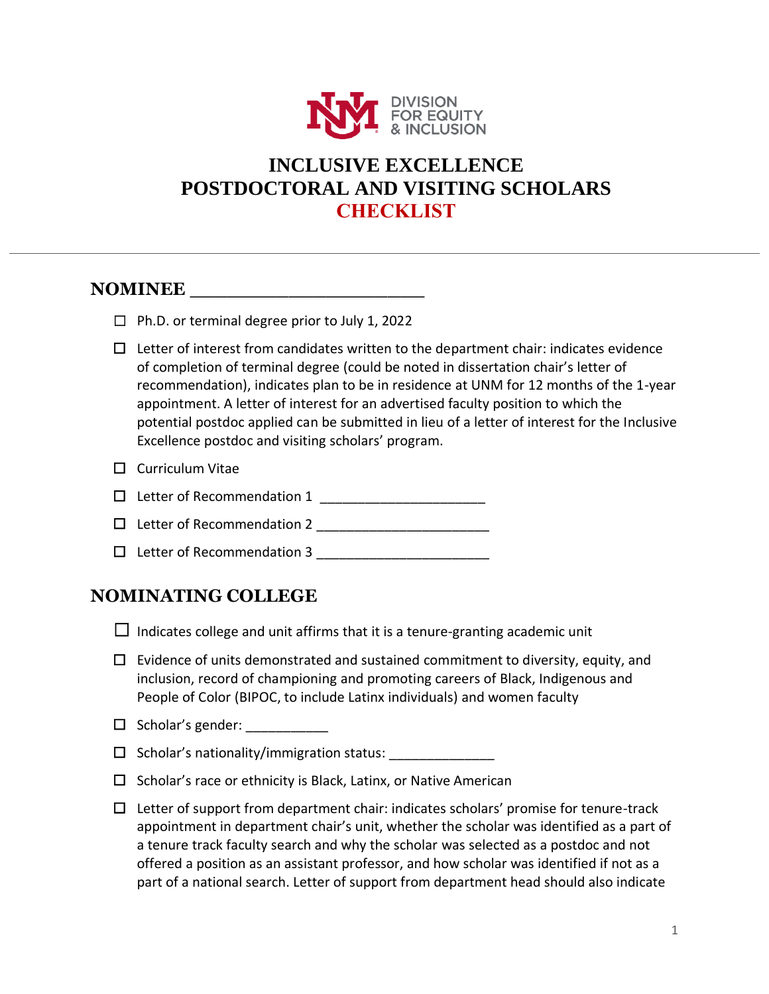

# **INCLUSIVE EXCELLENCE POSTDOCTORAL AND VISITING SCHOLARS CHECKLIST**

## **NOMINEE**

|  |  | $\Box$ Ph.D. or terminal degree prior to July 1, 2022 |  |  |  |  |
|--|--|-------------------------------------------------------|--|--|--|--|
|--|--|-------------------------------------------------------|--|--|--|--|

 $\Box$  Letter of interest from candidates written to the department chair: indicates evidence of completion of terminal degree (could be noted in dissertation chair's letter of recommendation), indicates plan to be in residence at UNM for 12 months of the 1-year appointment. A letter of interest for an advertised faculty position to which the potential postdoc applied can be submitted in lieu of a letter of interest for the Inclusive Excellence postdoc and visiting scholars' program.

| $\Box$ Curriculum Vitae |  |
|-------------------------|--|
|-------------------------|--|

- $\Box$  Letter of Recommendation 1
- $\Box$  Letter of Recommendation 2
- $\Box$  Letter of Recommendation 3  $\Box$

#### **NOMINATING COLLEGE**

 $\Box$  Indicates college and unit affirms that it is a tenure-granting academic unit

- $\Box$  Evidence of units demonstrated and sustained commitment to diversity, equity, and inclusion, record of championing and promoting careers of Black, Indigenous and People of Color (BIPOC, to include Latinx individuals) and women faculty
- $\Box$  Scholar's gender:

 $\Box$  Scholar's nationality/immigration status:

- $\Box$  Scholar's race or ethnicity is Black, Latinx, or Native American
- $\Box$  Letter of support from department chair: indicates scholars' promise for tenure-track appointment in department chair's unit, whether the scholar was identified as a part of a tenure track faculty search and why the scholar was selected as a postdoc and not offered a position as an assistant professor, and how scholar was identified if not as a part of a national search. Letter of support from department head should also indicate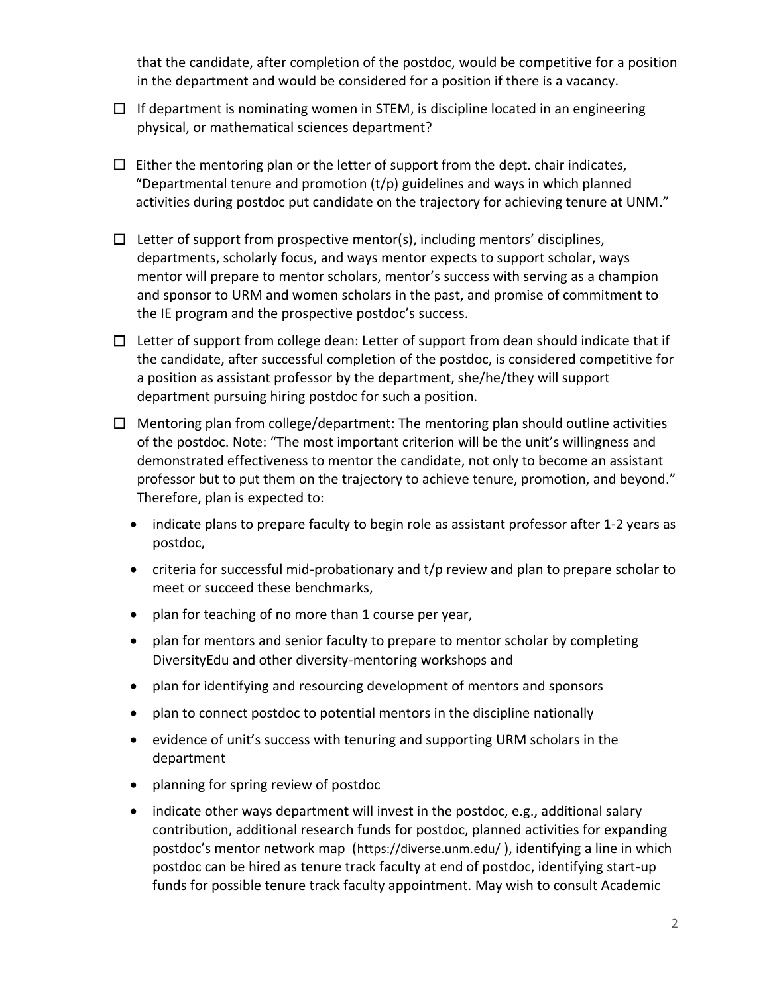that the candidate, after completion of the postdoc, would be competitive for a position in the department and would be considered for a position if there is a vacancy.

- $\Box$  If department is nominating women in STEM, is discipline located in an engineering physical, or mathematical sciences department?
- $\Box$  Either the mentoring plan or the letter of support from the dept. chair indicates, "Departmental tenure and promotion  $(t/p)$  guidelines and ways in which planned activities during postdoc put candidate on the trajectory for achieving tenure at UNM."
- $\Box$  Letter of support from prospective mentor(s), including mentors' disciplines, departments, scholarly focus, and ways mentor expects to support scholar, ways mentor will prepare to mentor scholars, mentor's success with serving as a champion and sponsor to URM and women scholars in the past, and promise of commitment to the IE program and the prospective postdoc's success.
- $\Box$  Letter of support from college dean: Letter of support from dean should indicate that if the candidate, after successful completion of the postdoc, is considered competitive for a position as assistant professor by the department, she/he/they will support department pursuing hiring postdoc for such a position.
- $\Box$  Mentoring plan from college/department: The mentoring plan should outline activities of the postdoc. Note: "The most important criterion will be the unit's willingness and demonstrated effectiveness to mentor the candidate, not only to become an assistant professor but to put them on the trajectory to achieve tenure, promotion, and beyond." Therefore, plan is expected to:
	- indicate plans to prepare faculty to begin role as assistant professor after 1-2 years as postdoc,
	- criteria for successful mid-probationary and t/p review and plan to prepare scholar to meet or succeed these benchmarks,
	- plan for teaching of no more than 1 course per year,
	- plan for mentors and senior faculty to prepare to mentor scholar by completing DiversityEdu and other diversity-mentoring workshops and
	- plan for identifying and resourcing development of mentors and sponsors
	- plan to connect postdoc to potential mentors in the discipline nationally
	- evidence of unit's success with tenuring and supporting URM scholars in the department
	- planning for spring review of postdoc
	- indicate other ways department will invest in the postdoc, e.g., additional salary contribution, additional research funds for postdoc, planned activities for expanding postdoc's mentor network map (<https://diverse.unm.edu/> ), identifying a line in which postdoc can be hired as tenure track faculty at end of postdoc, identifying start-up funds for possible tenure track faculty appointment. May wish to consult Academic